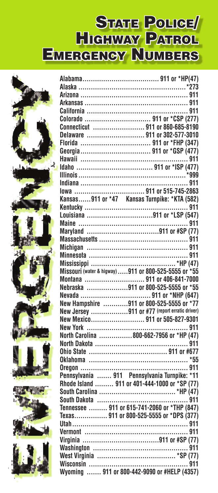## STATE POLICE Highway Patrol Emergency Numbers



| Connecticut  911 or 860-685-8190                                                                                                              |
|-----------------------------------------------------------------------------------------------------------------------------------------------|
| Delaware  911 or 302-577-3010                                                                                                                 |
| Florida  911 or *FHP (347)                                                                                                                    |
|                                                                                                                                               |
|                                                                                                                                               |
|                                                                                                                                               |
|                                                                                                                                               |
|                                                                                                                                               |
|                                                                                                                                               |
|                                                                                                                                               |
|                                                                                                                                               |
|                                                                                                                                               |
|                                                                                                                                               |
|                                                                                                                                               |
|                                                                                                                                               |
|                                                                                                                                               |
|                                                                                                                                               |
|                                                                                                                                               |
|                                                                                                                                               |
| Montana  911 or 406-841-7000                                                                                                                  |
| Nebraska 911 or 800-525-5555 or *55                                                                                                           |
|                                                                                                                                               |
| New Hampshire 911 or 800-525-5555 or *77                                                                                                      |
| New Jersey 911 or #77 (report erratic driver)                                                                                                 |
| New Mexico 911 or 505-827-9301                                                                                                                |
|                                                                                                                                               |
|                                                                                                                                               |
|                                                                                                                                               |
|                                                                                                                                               |
|                                                                                                                                               |
|                                                                                                                                               |
|                                                                                                                                               |
| Pennsylvania  911 Pennsylvania Turnpike: *11<br>Pennsylvania  911 Pennsylvania Turnpike: *11<br>Rhode Island  911 or 401-444-1000 or *SP (77) |
|                                                                                                                                               |
|                                                                                                                                               |
| Tennessee  911 or 615-741-2060 or *THP (847)                                                                                                  |
| Texas 911 or 800-525-5555 or *DPS (377)                                                                                                       |
|                                                                                                                                               |
|                                                                                                                                               |
|                                                                                                                                               |
|                                                                                                                                               |
|                                                                                                                                               |
|                                                                                                                                               |
| Wyoming  911 or 800-442-9090 or #HELP (4357)                                                                                                  |